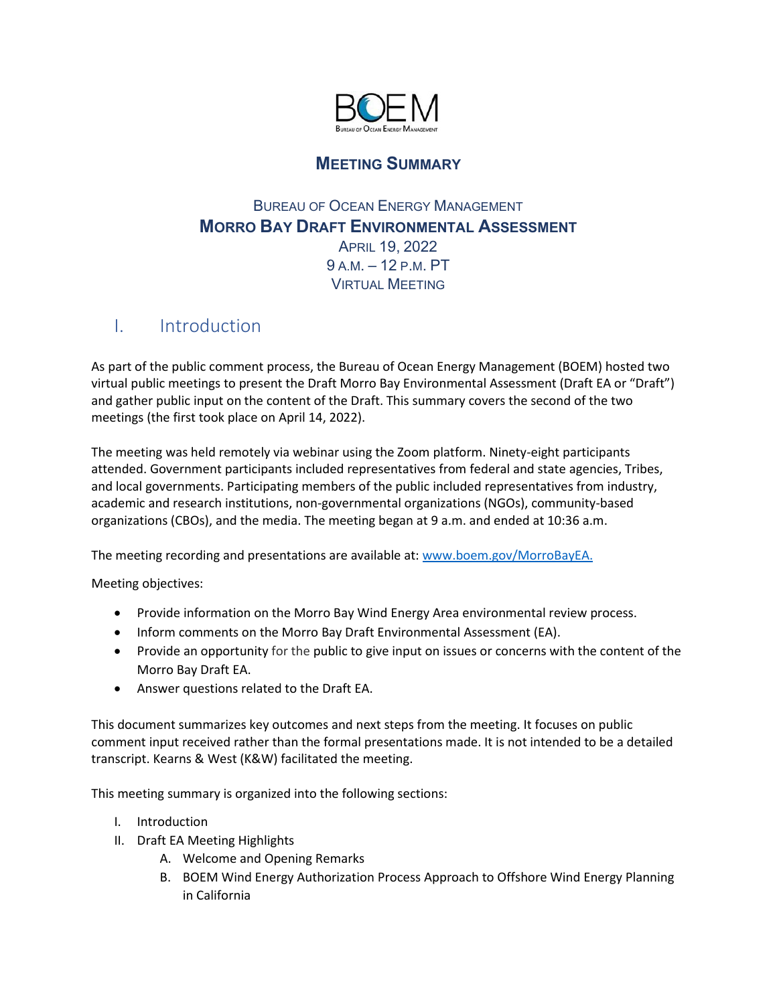

## **MEETING SUMMARY**

## BUREAU OF OCEAN ENERGY MANAGEMENT **MORRO BAY DRAFT ENVIRONMENTAL ASSESSMENT** APRIL 19, 2022 9 A.M. – 12 P.M. PT VIRTUAL MEETING

# I. Introduction

As part of the public comment process, the Bureau of Ocean Energy Management (BOEM) hosted two virtual public meetings to present the Draft Morro Bay Environmental Assessment (Draft EA or "Draft") and gather public input on the content of the Draft. This summary covers the second of the two meetings (the first took place on April 14, 2022).

The meeting was held remotely via webinar using the Zoom platform. Ninety-eight participants attended. Government participants included representatives from federal and state agencies, Tribes, and local governments. Participating members of the public included representatives from industry, academic and research institutions, non-governmental organizations (NGOs), community-based organizations (CBOs), and the media. The meeting began at 9 a.m. and ended at 10:36 a.m.

The meeting recording and presentations are available at: [www.boem.gov/MorroBayEA.](http://www.boem.gov/MorroBayEA)

Meeting objectives:

- Provide information on the Morro Bay Wind Energy Area environmental review process.
- Inform comments on the Morro Bay Draft Environmental Assessment (EA).
- Provide an opportunity for the public to give input on issues or concerns with the content of the Morro Bay Draft EA.
- Answer questions related to the Draft EA.

This document summarizes key outcomes and next steps from the meeting. It focuses on public comment input received rather than the formal presentations made. It is not intended to be a detailed transcript. Kearns & West (K&W) facilitated the meeting.

This meeting summary is organized into the following sections:

- I. Introduction
- II. Draft EA Meeting Highlights
	- A. Welcome and Opening Remarks
	- B. BOEM Wind Energy Authorization Process Approach to Offshore Wind Energy Planning in California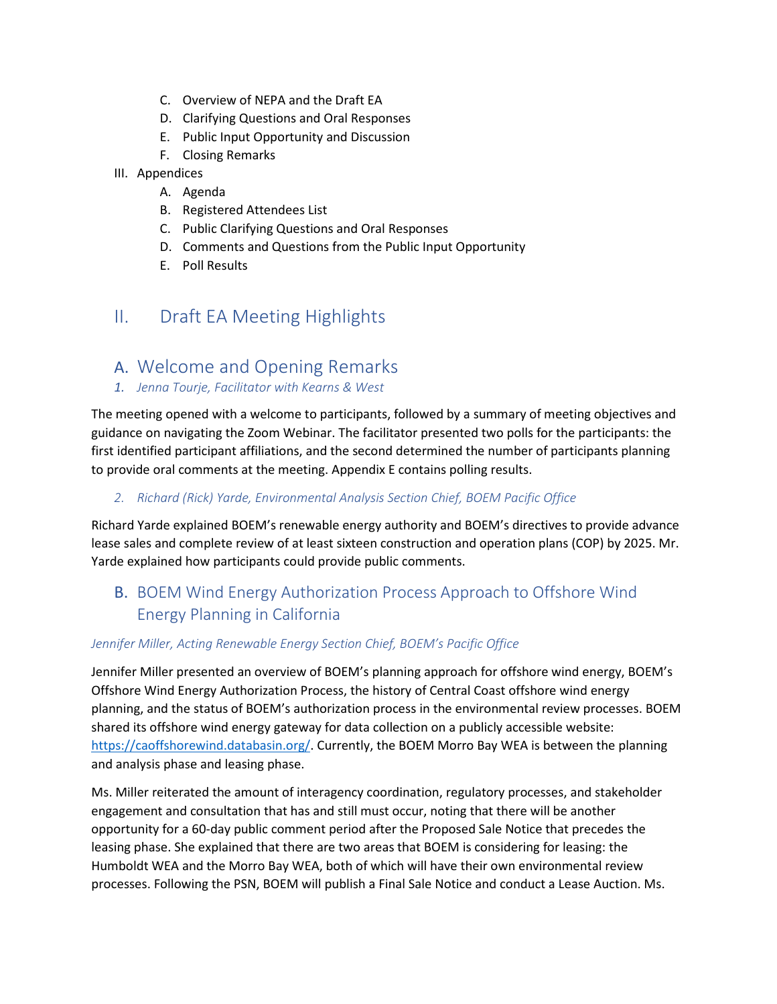- C. Overview of NEPA and the Draft EA
- D. Clarifying Questions and Oral Responses
- E. Public Input Opportunity and Discussion
- F. Closing Remarks
- III. Appendices
	- A. Agenda
	- B. Registered Attendees List
	- C. Public Clarifying Questions and Oral Responses
	- D. Comments and Questions from the Public Input Opportunity
	- E. Poll Results

# II. Draft EA Meeting Highlights

- A. Welcome and Opening Remarks
- *1. Jenna Tourje, Facilitator with Kearns & West*

The meeting opened with a welcome to participants, followed by a summary of meeting objectives and guidance on navigating the Zoom Webinar. The facilitator presented two polls for the participants: the first identified participant affiliations, and the second determined the number of participants planning to provide oral comments at the meeting. Appendix E contains polling results.

#### *2. Richard (Rick) Yarde, Environmental Analysis Section Chief, BOEM Pacific Office*

Richard Yarde explained BOEM's renewable energy authority and BOEM's directives to provide advance lease sales and complete review of at least sixteen construction and operation plans (COP) by 2025. Mr. Yarde explained how participants could provide public comments.

## B. BOEM Wind Energy Authorization Process Approach to Offshore Wind Energy Planning in California

#### *Jennifer Miller, Acting Renewable Energy Section Chief, BOEM's Pacific Office*

Jennifer Miller presented an overview of BOEM's planning approach for offshore wind energy, BOEM's Offshore Wind Energy Authorization Process, the history of Central Coast offshore wind energy planning, and the status of BOEM's authorization process in the environmental review processes. BOEM shared its offshore wind energy gateway for data collection on a publicly accessible website: [https://caoffshorewind.databasin.org/.](https://caoffshorewind.databasin.org/) Currently, the BOEM Morro Bay WEA is between the planning and analysis phase and leasing phase.

Ms. Miller reiterated the amount of interagency coordination, regulatory processes, and stakeholder engagement and consultation that has and still must occur, noting that there will be another opportunity for a 60-day public comment period after the Proposed Sale Notice that precedes the leasing phase. She explained that there are two areas that BOEM is considering for leasing: the Humboldt WEA and the Morro Bay WEA, both of which will have their own environmental review processes. Following the PSN, BOEM will publish a Final Sale Notice and conduct a Lease Auction. Ms.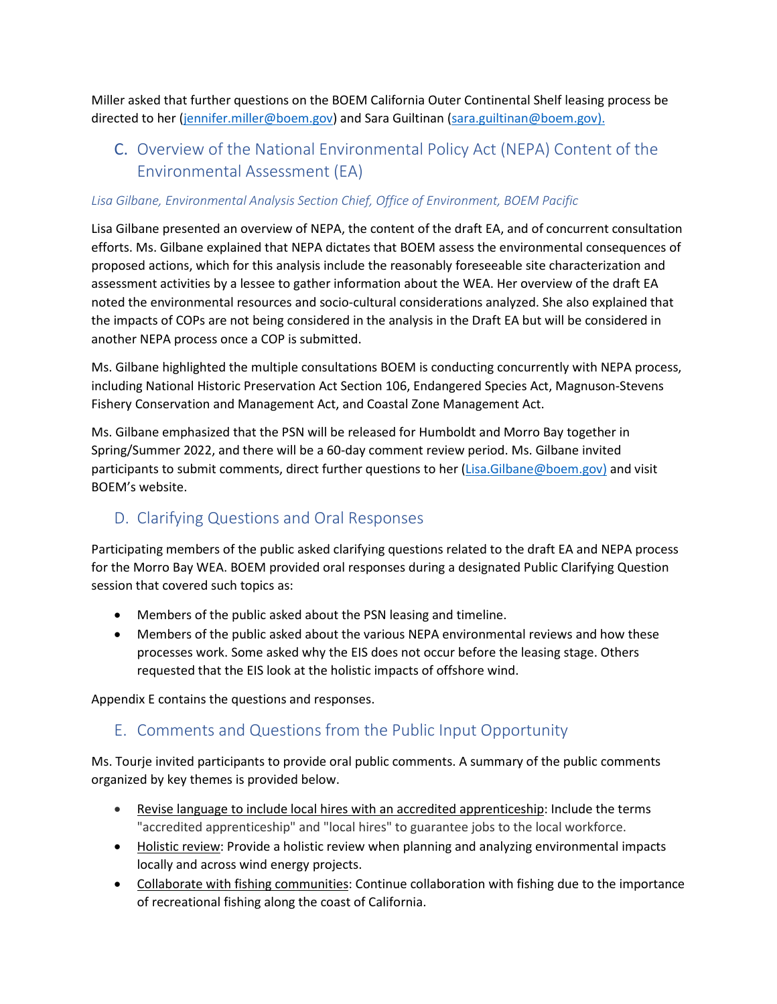Miller asked that further questions on the BOEM California Outer Continental Shelf leasing process be directed to her [\(jennifer.miller@boem.gov\)](mailto:jennifer.miller@boem.gov) and Sara Guiltinan [\(sara.guiltinan@boem.gov\).](mailto:sara.guiltinan@boem.gov).)

# C. Overview of the National Environmental Policy Act (NEPA) Content of the Environmental Assessment (EA)

#### *Lisa Gilbane, Environmental Analysis Section Chief, Office of Environment, BOEM Pacific*

Lisa Gilbane presented an overview of NEPA, the content of the draft EA, and of concurrent consultation efforts. Ms. Gilbane explained that NEPA dictates that BOEM assess the environmental consequences of proposed actions, which for this analysis include the reasonably foreseeable site characterization and assessment activities by a lessee to gather information about the WEA. Her overview of the draft EA noted the environmental resources and socio-cultural considerations analyzed. She also explained that the impacts of COPs are not being considered in the analysis in the Draft EA but will be considered in another NEPA process once a COP is submitted.

Ms. Gilbane highlighted the multiple consultations BOEM is conducting concurrently with NEPA process, including National Historic Preservation Act Section 106, Endangered Species Act, Magnuson-Stevens Fishery Conservation and Management Act, and Coastal Zone Management Act.

Ms. Gilbane emphasized that the PSN will be released for Humboldt and Morro Bay together in Spring/Summer 2022, and there will be a 60-day comment review period. Ms. Gilbane invited participants to submit comments, direct further questions to her [\(Lisa.Gilbane@boem.gov\)](mailto:Lisa.Gilbane@boem.gov) and visit BOEM's website.

# D. Clarifying Questions and Oral Responses

Participating members of the public asked clarifying questions related to the draft EA and NEPA process for the Morro Bay WEA. BOEM provided oral responses during a designated Public Clarifying Question session that covered such topics as:

- Members of the public asked about the PSN leasing and timeline.
- Members of the public asked about the various NEPA environmental reviews and how these processes work. Some asked why the EIS does not occur before the leasing stage. Others requested that the EIS look at the holistic impacts of offshore wind.

Appendix E contains the questions and responses.

## E. Comments and Questions from the Public Input Opportunity

Ms. Tourje invited participants to provide oral public comments. A summary of the public comments organized by key themes is provided below.

- Revise language to include local hires with an accredited apprenticeship: Include the terms "accredited apprenticeship" and "local hires" to guarantee jobs to the local workforce.
- Holistic review: Provide a holistic review when planning and analyzing environmental impacts locally and across wind energy projects.
- Collaborate with fishing communities: Continue collaboration with fishing due to the importance of recreational fishing along the coast of California.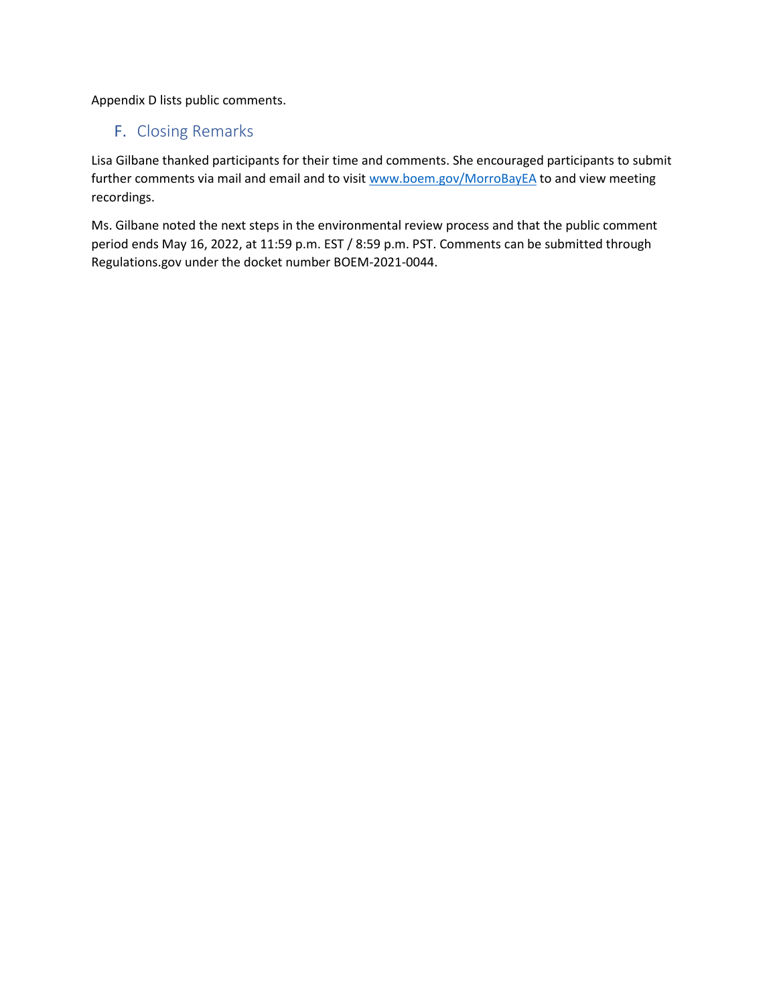Appendix D lists public comments.

## F. Closing Remarks

Lisa Gilbane thanked participants for their time and comments. She encouraged participants to submit further comments via mail and email and to visit [www.boem.gov/MorroBayEA](http://www.boem.gov/MorroBayEA) to and view meeting recordings.

Ms. Gilbane noted the next steps in the environmental review process and that the public comment period ends May 16, 2022, at 11:59 p.m. EST / 8:59 p.m. PST. Comments can be submitted through Regulations.gov under the docket number BOEM-2021-0044.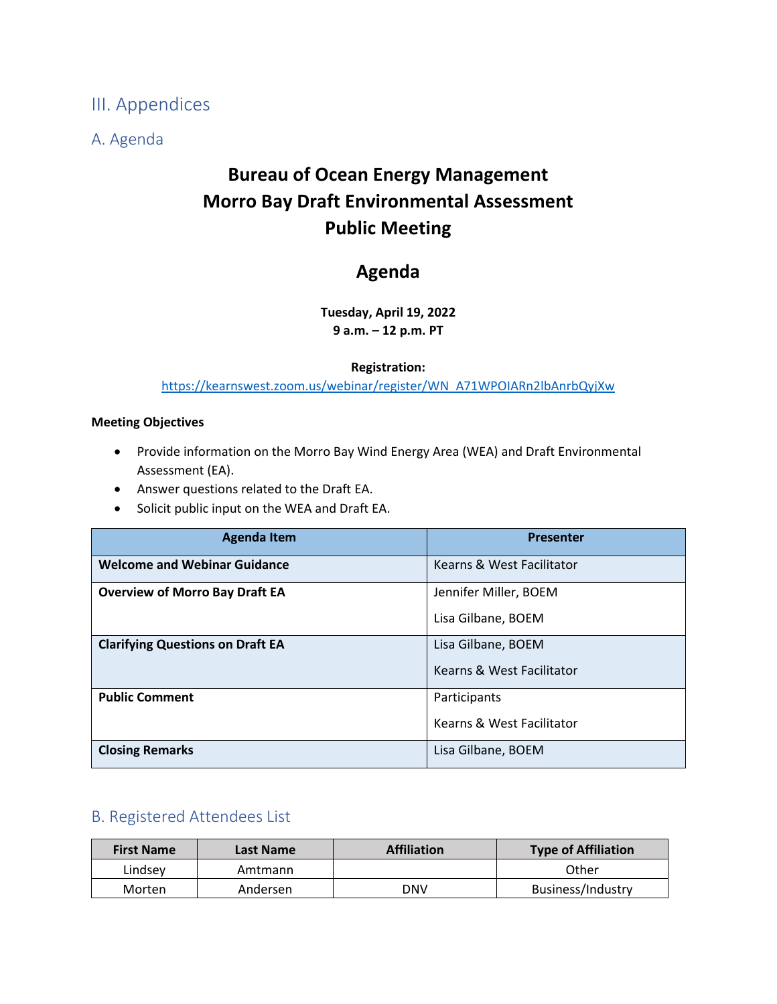III. Appendices

A. Agenda

# **Bureau of Ocean Energy Management Morro Bay Draft Environmental Assessment Public Meeting**

# **Agenda**

**Tuesday, April 19, 2022 9 a.m. – 12 p.m. PT**

#### **Registration:**

[https://kearnswest.zoom.us/webinar/register/WN\\_A71WPOIARn2lbAnrbQyjXw](https://kearnswest.zoom.us/webinar/register/WN_A71WPOIARn2lbAnrbQyjXw)

#### **Meeting Objectives**

- Provide information on the Morro Bay Wind Energy Area (WEA) and Draft Environmental Assessment (EA).
- Answer questions related to the Draft EA.
- Solicit public input on the WEA and Draft EA.

| <b>Agenda Item</b>                      | <b>Presenter</b>          |
|-----------------------------------------|---------------------------|
| <b>Welcome and Webinar Guidance</b>     | Kearns & West Facilitator |
| <b>Overview of Morro Bay Draft EA</b>   | Jennifer Miller, BOEM     |
|                                         | Lisa Gilbane, BOEM        |
| <b>Clarifying Questions on Draft EA</b> | Lisa Gilbane, BOEM        |
|                                         | Kearns & West Facilitator |
| <b>Public Comment</b>                   | Participants              |
|                                         | Kearns & West Facilitator |
| <b>Closing Remarks</b>                  | Lisa Gilbane, BOEM        |

## B. Registered Attendees List

| <b>First Name</b> | Last Name | <b>Affiliation</b> | <b>Type of Affiliation</b> |
|-------------------|-----------|--------------------|----------------------------|
| Lindsev           | Amtmann   |                    | Other                      |
| Morten            | Andersen  | DNV                | Business/Industry          |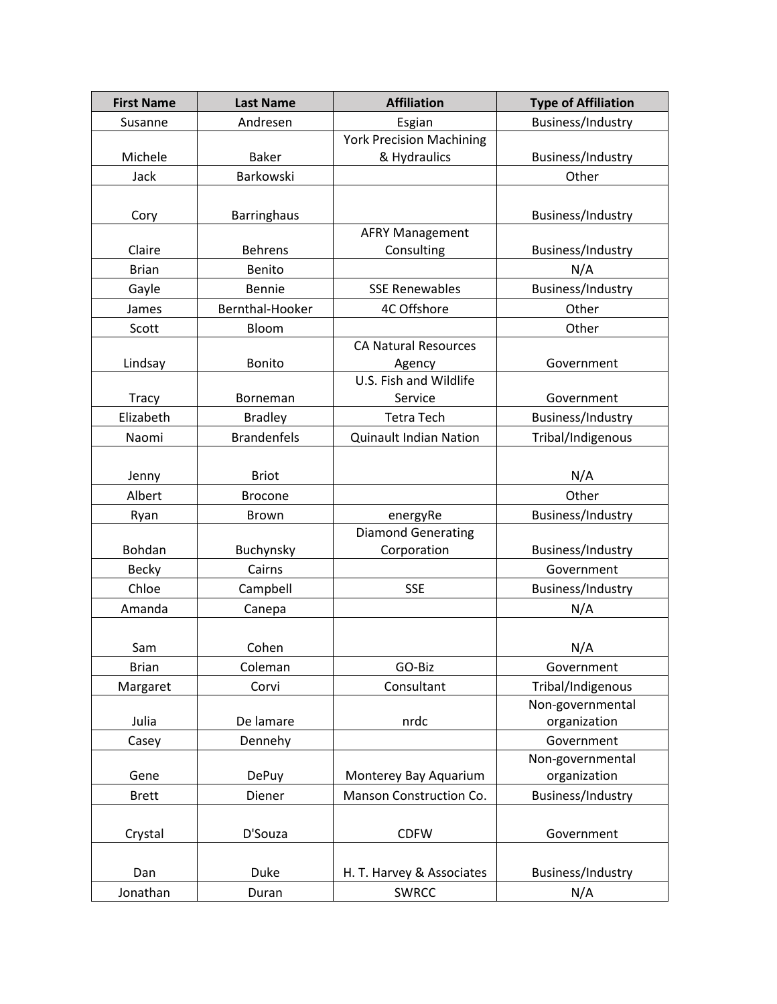| <b>First Name</b> | <b>Last Name</b>   | <b>Affiliation</b>              | <b>Type of Affiliation</b> |
|-------------------|--------------------|---------------------------------|----------------------------|
| Susanne           | Andresen           | Esgian                          | Business/Industry          |
|                   |                    | <b>York Precision Machining</b> |                            |
| Michele           | <b>Baker</b>       | & Hydraulics                    | Business/Industry          |
| Jack              | Barkowski          |                                 | Other                      |
|                   |                    |                                 |                            |
| Cory              | <b>Barringhaus</b> |                                 | Business/Industry          |
|                   |                    | <b>AFRY Management</b>          |                            |
| Claire            | <b>Behrens</b>     | Consulting                      | Business/Industry          |
| <b>Brian</b>      | Benito             |                                 | N/A                        |
| Gayle             | Bennie             | <b>SSE Renewables</b>           | Business/Industry          |
| James             | Bernthal-Hooker    | 4C Offshore                     | Other                      |
| Scott             | Bloom              |                                 | Other                      |
|                   |                    | <b>CA Natural Resources</b>     |                            |
| Lindsay           | Bonito             | Agency                          | Government                 |
|                   |                    | U.S. Fish and Wildlife          |                            |
| <b>Tracy</b>      | Borneman           | Service                         | Government                 |
| Elizabeth         | <b>Bradley</b>     | <b>Tetra Tech</b>               | Business/Industry          |
| Naomi             | <b>Brandenfels</b> | <b>Quinault Indian Nation</b>   | Tribal/Indigenous          |
|                   |                    |                                 |                            |
| Jenny             | <b>Briot</b>       |                                 | N/A                        |
| Albert            | <b>Brocone</b>     |                                 | Other                      |
| Ryan              | Brown              | energyRe                        | Business/Industry          |
|                   |                    | <b>Diamond Generating</b>       |                            |
| Bohdan            | Buchynsky          | Corporation                     | Business/Industry          |
| <b>Becky</b>      | Cairns             |                                 | Government                 |
| Chloe             | Campbell           | <b>SSE</b>                      | Business/Industry          |
| Amanda            | Canepa             |                                 | N/A                        |
|                   |                    |                                 |                            |
| Sam               | Cohen              |                                 | N/A                        |
| <b>Brian</b>      | Coleman            | GO-Biz                          | Government                 |
| Margaret          | Corvi              | Consultant                      | Tribal/Indigenous          |
|                   |                    |                                 | Non-governmental           |
| Julia             | De lamare          | nrdc                            | organization               |
| Casey             | Dennehy            |                                 | Government                 |
|                   |                    |                                 | Non-governmental           |
| Gene              | <b>DePuy</b>       | Monterey Bay Aquarium           | organization               |
| <b>Brett</b>      | Diener             | Manson Construction Co.         | Business/Industry          |
|                   |                    |                                 |                            |
| Crystal           | D'Souza            | <b>CDFW</b>                     | Government                 |
|                   |                    |                                 |                            |
| Dan               | Duke               | H. T. Harvey & Associates       | Business/Industry          |
| Jonathan          | Duran              | <b>SWRCC</b>                    | N/A                        |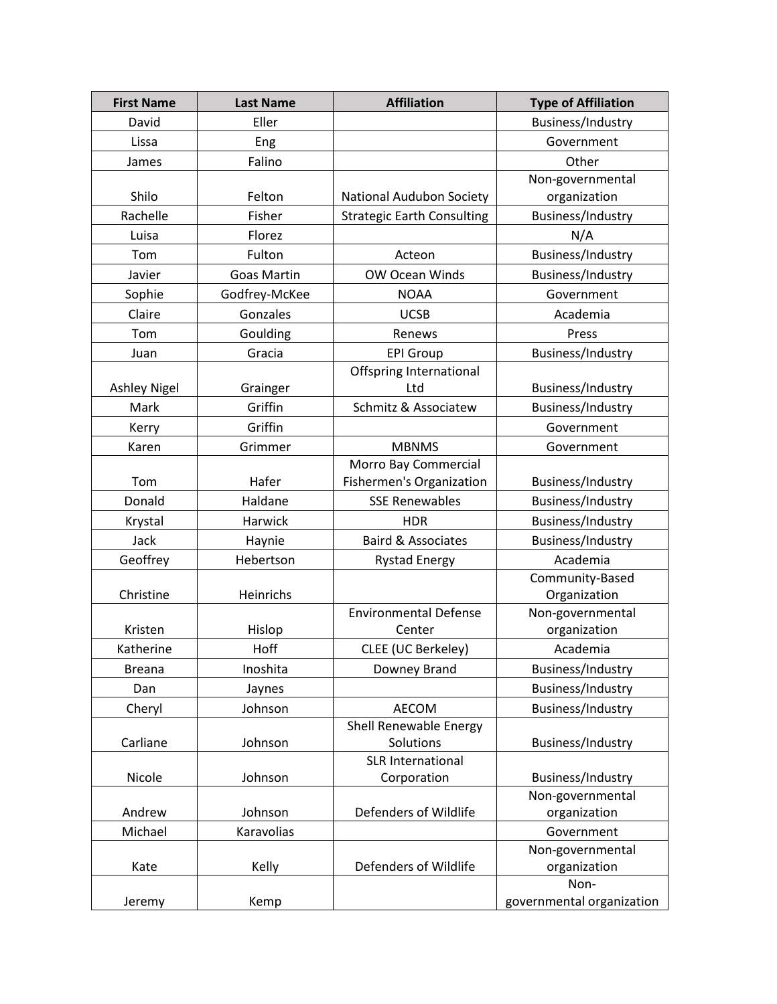| <b>First Name</b>   | <b>Last Name</b>   | <b>Affiliation</b>                  | <b>Type of Affiliation</b> |
|---------------------|--------------------|-------------------------------------|----------------------------|
| David               | Eller              |                                     | Business/Industry          |
| Lissa               | Eng                |                                     | Government                 |
| James               | Falino             |                                     | Other                      |
|                     |                    |                                     | Non-governmental           |
| Shilo               | Felton             | <b>National Audubon Society</b>     | organization               |
| Rachelle            | Fisher             | <b>Strategic Earth Consulting</b>   | Business/Industry          |
| Luisa               | Florez             |                                     | N/A                        |
| Tom                 | Fulton             | Acteon                              | Business/Industry          |
| Javier              | <b>Goas Martin</b> | OW Ocean Winds                      | Business/Industry          |
| Sophie              | Godfrey-McKee      | <b>NOAA</b>                         | Government                 |
| Claire              | Gonzales           | <b>UCSB</b>                         | Academia                   |
| Tom                 | Goulding           | Renews                              | Press                      |
| Juan                | Gracia             | <b>EPI Group</b>                    | Business/Industry          |
|                     |                    | Offspring International             |                            |
| <b>Ashley Nigel</b> | Grainger           | Ltd                                 | Business/Industry          |
| Mark                | Griffin            | Schmitz & Associatew                | Business/Industry          |
| Kerry               | Griffin            |                                     | Government                 |
| Karen               | Grimmer            | <b>MBNMS</b>                        | Government                 |
|                     |                    | Morro Bay Commercial                |                            |
| Tom                 | Hafer              | <b>Fishermen's Organization</b>     | Business/Industry          |
| Donald              | Haldane            | <b>SSE Renewables</b>               | Business/Industry          |
| Krystal             | Harwick            | <b>HDR</b>                          | Business/Industry          |
| Jack                | Haynie             | <b>Baird &amp; Associates</b>       | Business/Industry          |
| Geoffrey            | Hebertson          | <b>Rystad Energy</b>                | Academia                   |
|                     |                    |                                     | Community-Based            |
| Christine           | Heinrichs          |                                     | Organization               |
|                     |                    | <b>Environmental Defense</b>        | Non-governmental           |
| Kristen             | Hislop             | Center                              | organization               |
| Katherine           | Hoff               | CLEE (UC Berkeley)                  | Academia                   |
| <b>Breana</b>       | Inoshita           | Downey Brand                        | Business/Industry          |
| Dan                 | Jaynes             |                                     | Business/Industry          |
| Cheryl              | Johnson            | AECOM                               | Business/Industry          |
| Carliane            | Johnson            | Shell Renewable Energy<br>Solutions | Business/Industry          |
|                     |                    | <b>SLR International</b>            |                            |
| Nicole              | Johnson            | Corporation                         | Business/Industry          |
|                     |                    |                                     | Non-governmental           |
| Andrew              | Johnson            | Defenders of Wildlife               | organization               |
| Michael             | Karavolias         |                                     | Government                 |
|                     |                    |                                     | Non-governmental           |
| Kate                | Kelly              | Defenders of Wildlife               | organization               |
|                     |                    |                                     | Non-                       |
| Jeremy              | Kemp               |                                     | governmental organization  |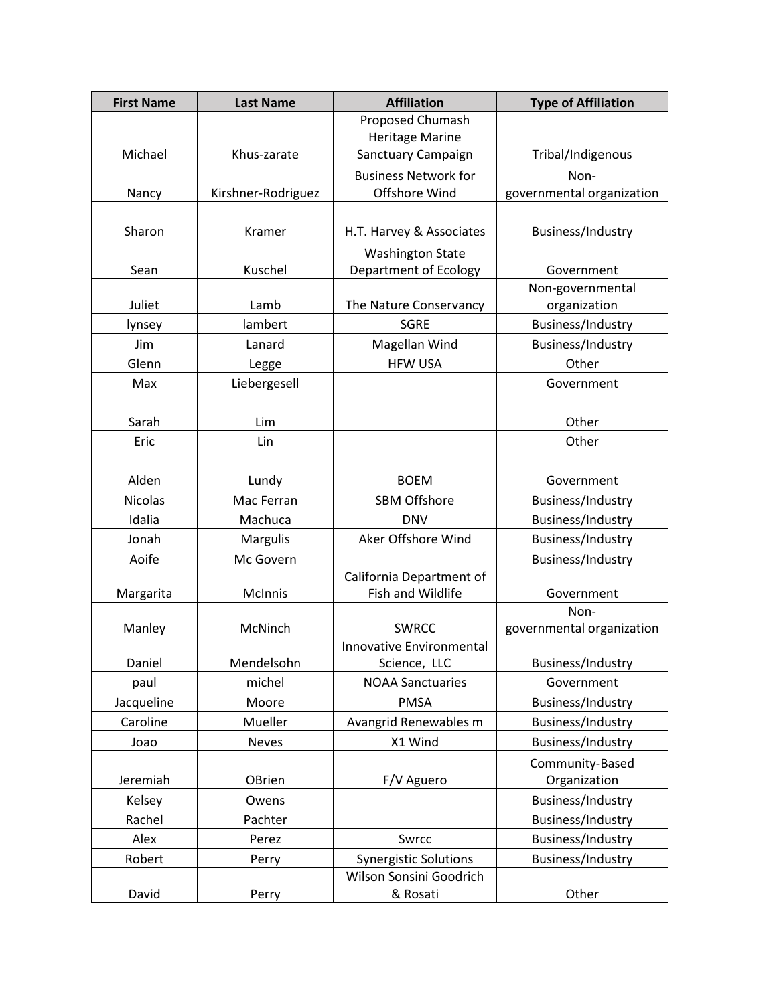| <b>First Name</b> | <b>Last Name</b>   | <b>Affiliation</b>              | <b>Type of Affiliation</b> |
|-------------------|--------------------|---------------------------------|----------------------------|
|                   |                    | Proposed Chumash                |                            |
|                   |                    | <b>Heritage Marine</b>          |                            |
| Michael           | Khus-zarate        | Sanctuary Campaign              | Tribal/Indigenous          |
|                   |                    | <b>Business Network for</b>     | Non-                       |
| Nancy             | Kirshner-Rodriguez | Offshore Wind                   | governmental organization  |
|                   |                    |                                 |                            |
| Sharon            | Kramer             | H.T. Harvey & Associates        | Business/Industry          |
|                   |                    | <b>Washington State</b>         |                            |
| Sean              | Kuschel            | <b>Department of Ecology</b>    | Government                 |
|                   |                    |                                 | Non-governmental           |
| Juliet            | Lamb               | The Nature Conservancy          | organization               |
| lynsey            | lambert            | <b>SGRE</b>                     | Business/Industry          |
| Jim               | Lanard             | Magellan Wind                   | Business/Industry          |
| Glenn             | Legge              | <b>HFW USA</b>                  | Other                      |
| Max               | Liebergesell       |                                 | Government                 |
|                   |                    |                                 |                            |
| Sarah             | Lim                |                                 | Other                      |
| Eric              | Lin                |                                 | Other                      |
|                   |                    |                                 |                            |
| Alden             | Lundy              | <b>BOEM</b>                     | Government                 |
| <b>Nicolas</b>    | Mac Ferran         | SBM Offshore                    | Business/Industry          |
| Idalia            | Machuca            | <b>DNV</b>                      | Business/Industry          |
| Jonah             | Margulis           | Aker Offshore Wind              | Business/Industry          |
| Aoife             | Mc Govern          |                                 | Business/Industry          |
|                   |                    | California Department of        |                            |
| Margarita         | McInnis            | Fish and Wildlife               | Government                 |
|                   |                    |                                 | Non-                       |
| Manley            | McNinch            | <b>SWRCC</b>                    | governmental organization  |
|                   |                    | <b>Innovative Environmental</b> |                            |
| Daniel            | Mendelsohn         | Science, LLC                    | Business/Industry          |
| paul              | michel             | <b>NOAA Sanctuaries</b>         | Government                 |
| Jacqueline        | Moore              | <b>PMSA</b>                     | Business/Industry          |
| Caroline          | Mueller            | Avangrid Renewables m           | Business/Industry          |
| Joao              | <b>Neves</b>       | X1 Wind                         | Business/Industry          |
|                   |                    |                                 | Community-Based            |
| Jeremiah          | OBrien             | F/V Aguero                      | Organization               |
| Kelsey            | Owens              |                                 | Business/Industry          |
| Rachel            | Pachter            |                                 | Business/Industry          |
| Alex              | Perez              | Swrcc                           | Business/Industry          |
| Robert            | Perry              | <b>Synergistic Solutions</b>    | Business/Industry          |
|                   |                    | Wilson Sonsini Goodrich         |                            |
| David             | Perry              | & Rosati                        | Other                      |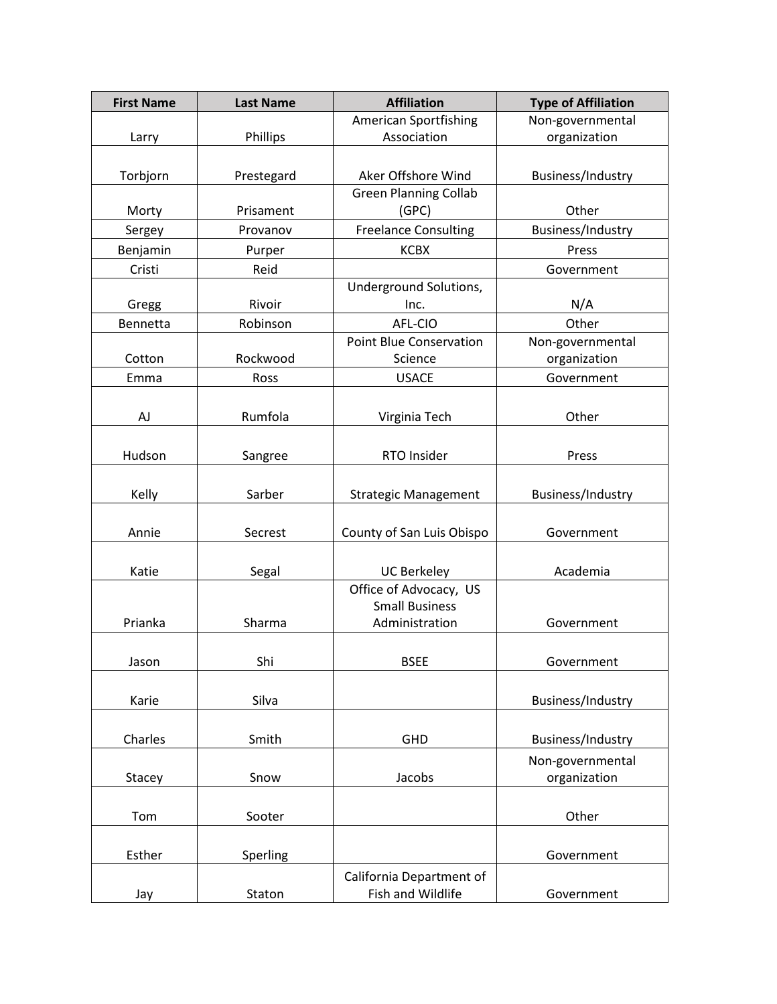| <b>First Name</b> | <b>Last Name</b> | <b>Affiliation</b>             | <b>Type of Affiliation</b> |
|-------------------|------------------|--------------------------------|----------------------------|
|                   |                  | <b>American Sportfishing</b>   | Non-governmental           |
| Larry             | Phillips         | Association                    | organization               |
|                   |                  |                                |                            |
| Torbjorn          | Prestegard       | Aker Offshore Wind             | Business/Industry          |
|                   |                  | <b>Green Planning Collab</b>   |                            |
| Morty             | Prisament        | (GPC)                          | Other                      |
| Sergey            | Provanov         | <b>Freelance Consulting</b>    | Business/Industry          |
| Benjamin          | Purper           | <b>KCBX</b>                    | Press                      |
| Cristi            | Reid             |                                | Government                 |
|                   |                  | Underground Solutions,         |                            |
| Gregg             | Rivoir           | Inc.                           | N/A                        |
| Bennetta          | Robinson         | AFL-CIO                        | Other                      |
|                   |                  | <b>Point Blue Conservation</b> | Non-governmental           |
| Cotton            | Rockwood         | Science                        | organization               |
| Emma              | Ross             | <b>USACE</b>                   | Government                 |
|                   |                  |                                |                            |
| AJ                | Rumfola          | Virginia Tech                  | Other                      |
|                   |                  |                                |                            |
| Hudson            | Sangree          | RTO Insider                    | Press                      |
|                   |                  |                                |                            |
| Kelly             | Sarber           | <b>Strategic Management</b>    | Business/Industry          |
|                   |                  |                                |                            |
| Annie             | Secrest          | County of San Luis Obispo      | Government                 |
|                   |                  |                                |                            |
| Katie             | Segal            | <b>UC Berkeley</b>             | Academia                   |
|                   |                  | Office of Advocacy, US         |                            |
|                   |                  | <b>Small Business</b>          |                            |
| Prianka           | Sharma           | Administration                 | Government                 |
|                   |                  |                                |                            |
| Jason             | Shi              | <b>BSEE</b>                    | Government                 |
|                   |                  |                                |                            |
| Karie             | Silva            |                                | Business/Industry          |
|                   |                  |                                |                            |
| Charles           | Smith            | GHD                            | Business/Industry          |
|                   |                  |                                | Non-governmental           |
| Stacey            | Snow             | Jacobs                         | organization               |
|                   |                  |                                |                            |
| Tom               | Sooter           |                                | Other                      |
|                   |                  |                                |                            |
| Esther            | Sperling         |                                | Government                 |
|                   |                  | California Department of       |                            |
| Jay               | Staton           | Fish and Wildlife              | Government                 |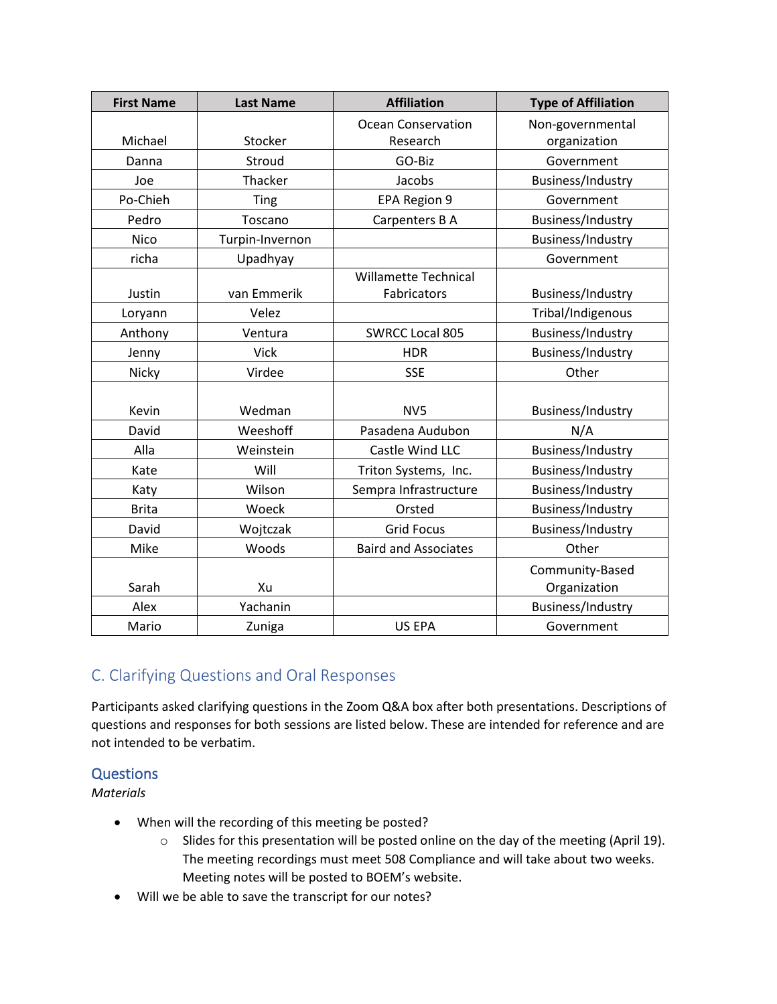| <b>First Name</b> | <b>Last Name</b> | <b>Affiliation</b>          | <b>Type of Affiliation</b> |
|-------------------|------------------|-----------------------------|----------------------------|
|                   |                  | <b>Ocean Conservation</b>   | Non-governmental           |
| Michael           | Stocker          | Research                    | organization               |
| Danna             | Stroud           | GO-Biz                      | Government                 |
| Joe               | Thacker          | Jacobs                      | Business/Industry          |
| Po-Chieh          | Ting             | EPA Region 9                | Government                 |
| Pedro             | Toscano          | Carpenters B A              | Business/Industry          |
| <b>Nico</b>       | Turpin-Invernon  |                             | Business/Industry          |
| richa             | Upadhyay         |                             | Government                 |
|                   |                  | <b>Willamette Technical</b> |                            |
| Justin            | van Emmerik      | Fabricators                 | Business/Industry          |
| Loryann           | Velez            |                             | Tribal/Indigenous          |
| Anthony           | Ventura          | <b>SWRCC Local 805</b>      | Business/Industry          |
| Jenny             | Vick             | <b>HDR</b>                  | Business/Industry          |
| Nicky             | Virdee           | <b>SSE</b>                  | Other                      |
|                   |                  |                             |                            |
| Kevin             | Wedman           | NV <sub>5</sub>             | Business/Industry          |
| David             | Weeshoff         | Pasadena Audubon            | N/A                        |
| Alla              | Weinstein        | Castle Wind LLC             | Business/Industry          |
| Kate              | Will             | Triton Systems, Inc.        | Business/Industry          |
| Katy              | Wilson           | Sempra Infrastructure       | Business/Industry          |
| <b>Brita</b>      | Woeck            | Orsted                      | Business/Industry          |
| David             | Wojtczak         | <b>Grid Focus</b>           | Business/Industry          |
| Mike              | Woods            | <b>Baird and Associates</b> | Other                      |
|                   |                  |                             | Community-Based            |
| Sarah             | Xu               |                             | Organization               |
| Alex              | Yachanin         |                             | Business/Industry          |
| Mario             | Zuniga           | US EPA                      | Government                 |

# C. Clarifying Questions and Oral Responses

Participants asked clarifying questions in the Zoom Q&A box after both presentations. Descriptions of questions and responses for both sessions are listed below. These are intended for reference and are not intended to be verbatim.

### **Questions**

*Materials*

- When will the recording of this meeting be posted?
	- o Slides for this presentation will be posted online on the day of the meeting (April 19). The meeting recordings must meet 508 Compliance and will take about two weeks. Meeting notes will be posted to BOEM's website.
- Will we be able to save the transcript for our notes?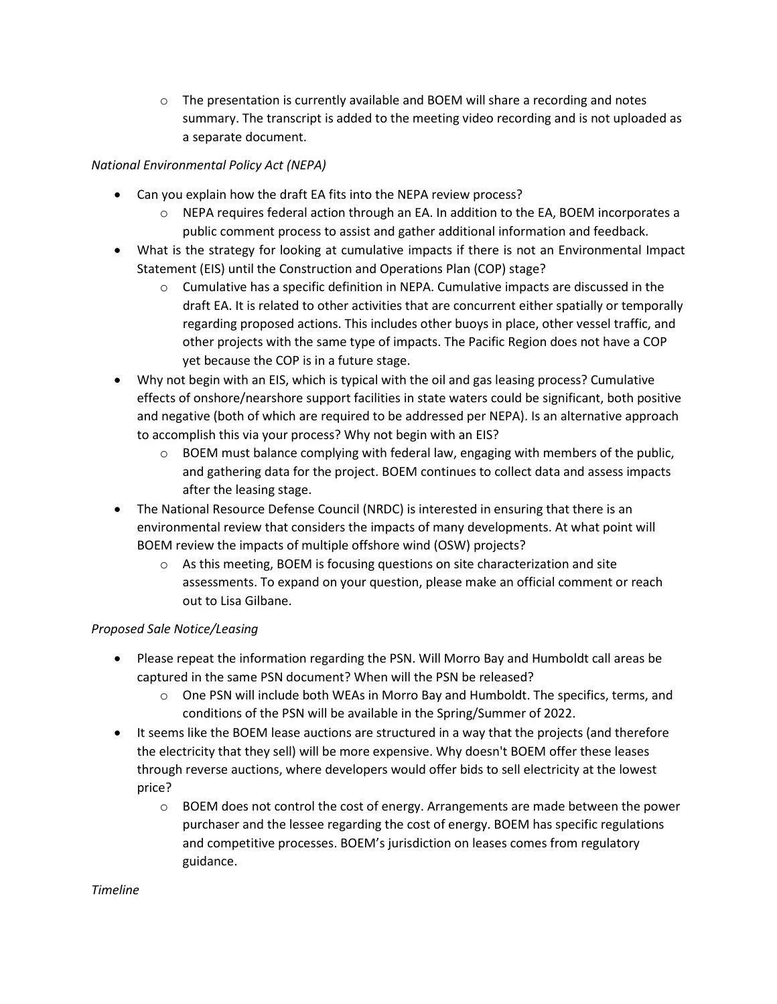$\circ$  The presentation is currently available and BOEM will share a recording and notes summary. The transcript is added to the meeting video recording and is not uploaded as a separate document.

#### *National Environmental Policy Act (NEPA)*

- Can you explain how the draft EA fits into the NEPA review process?
	- o NEPA requires federal action through an EA. In addition to the EA, BOEM incorporates a public comment process to assist and gather additional information and feedback.
- What is the strategy for looking at cumulative impacts if there is not an Environmental Impact Statement (EIS) until the Construction and Operations Plan (COP) stage?
	- $\circ$  Cumulative has a specific definition in NEPA. Cumulative impacts are discussed in the draft EA. It is related to other activities that are concurrent either spatially or temporally regarding proposed actions. This includes other buoys in place, other vessel traffic, and other projects with the same type of impacts. The Pacific Region does not have a COP yet because the COP is in a future stage.
- Why not begin with an EIS, which is typical with the oil and gas leasing process? Cumulative effects of onshore/nearshore support facilities in state waters could be significant, both positive and negative (both of which are required to be addressed per NEPA). Is an alternative approach to accomplish this via your process? Why not begin with an EIS?
	- $\circ$  BOEM must balance complying with federal law, engaging with members of the public, and gathering data for the project. BOEM continues to collect data and assess impacts after the leasing stage.
- The National Resource Defense Council (NRDC) is interested in ensuring that there is an environmental review that considers the impacts of many developments. At what point will BOEM review the impacts of multiple offshore wind (OSW) projects?
	- o As this meeting, BOEM is focusing questions on site characterization and site assessments. To expand on your question, please make an official comment or reach out to Lisa Gilbane.

#### *Proposed Sale Notice/Leasing*

- Please repeat the information regarding the PSN. Will Morro Bay and Humboldt call areas be captured in the same PSN document? When will the PSN be released?
	- $\circ$  One PSN will include both WEAs in Morro Bay and Humboldt. The specifics, terms, and conditions of the PSN will be available in the Spring/Summer of 2022.
- It seems like the BOEM lease auctions are structured in a way that the projects (and therefore the electricity that they sell) will be more expensive. Why doesn't BOEM offer these leases through reverse auctions, where developers would offer bids to sell electricity at the lowest price?
	- o BOEM does not control the cost of energy. Arrangements are made between the power purchaser and the lessee regarding the cost of energy. BOEM has specific regulations and competitive processes. BOEM's jurisdiction on leases comes from regulatory guidance.

#### *Timeline*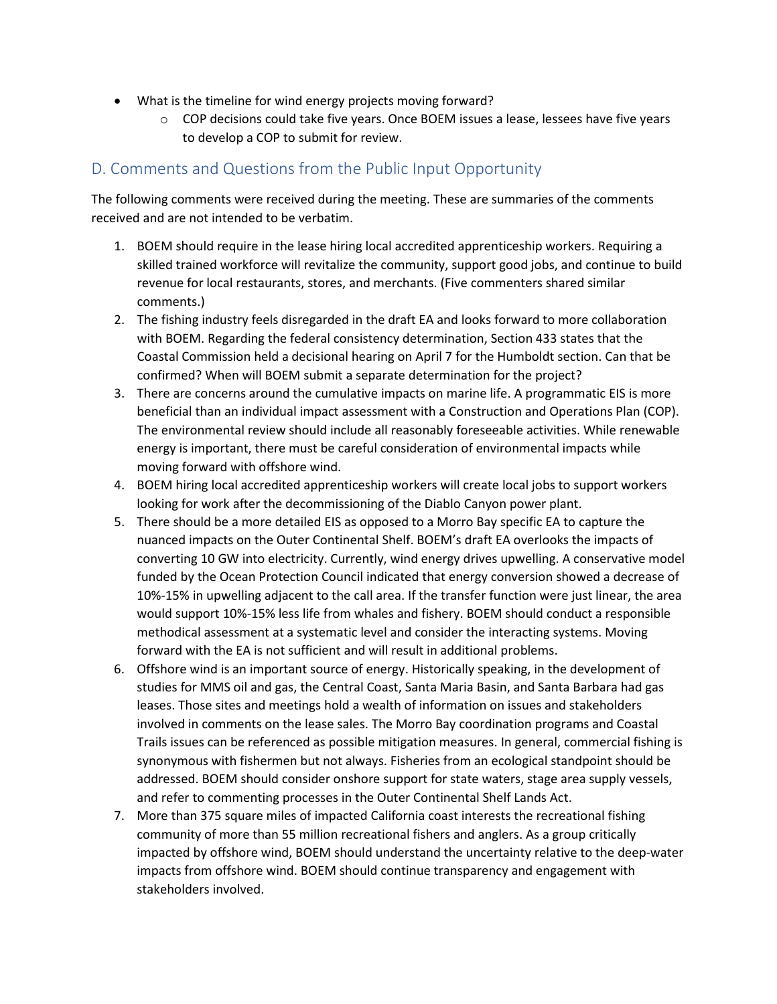- What is the timeline for wind energy projects moving forward?
	- $\circ$  COP decisions could take five years. Once BOEM issues a lease, lessees have five years to develop a COP to submit for review.

## D. Comments and Questions from the Public Input Opportunity

The following comments were received during the meeting. These are summaries of the comments received and are not intended to be verbatim.

- 1. BOEM should require in the lease hiring local accredited apprenticeship workers. Requiring a skilled trained workforce will revitalize the community, support good jobs, and continue to build revenue for local restaurants, stores, and merchants. (Five commenters shared similar comments.)
- 2. The fishing industry feels disregarded in the draft EA and looks forward to more collaboration with BOEM. Regarding the federal consistency determination, Section 433 states that the Coastal Commission held a decisional hearing on April 7 for the Humboldt section. Can that be confirmed? When will BOEM submit a separate determination for the project?
- 3. There are concerns around the cumulative impacts on marine life. A programmatic EIS is more beneficial than an individual impact assessment with a Construction and Operations Plan (COP). The environmental review should include all reasonably foreseeable activities. While renewable energy is important, there must be careful consideration of environmental impacts while moving forward with offshore wind.
- 4. BOEM hiring local accredited apprenticeship workers will create local jobs to support workers looking for work after the decommissioning of the Diablo Canyon power plant.
- 5. There should be a more detailed EIS as opposed to a Morro Bay specific EA to capture the nuanced impacts on the Outer Continental Shelf. BOEM's draft EA overlooks the impacts of converting 10 GW into electricity. Currently, wind energy drives upwelling. A conservative model funded by the Ocean Protection Council indicated that energy conversion showed a decrease of 10%-15% in upwelling adjacent to the call area. If the transfer function were just linear, the area would support 10%-15% less life from whales and fishery. BOEM should conduct a responsible methodical assessment at a systematic level and consider the interacting systems. Moving forward with the EA is not sufficient and will result in additional problems.
- 6. Offshore wind is an important source of energy. Historically speaking, in the development of studies for MMS oil and gas, the Central Coast, Santa Maria Basin, and Santa Barbara had gas leases. Those sites and meetings hold a wealth of information on issues and stakeholders involved in comments on the lease sales. The Morro Bay coordination programs and Coastal Trails issues can be referenced as possible mitigation measures. In general, commercial fishing is synonymous with fishermen but not always. Fisheries from an ecological standpoint should be addressed. BOEM should consider onshore support for state waters, stage area supply vessels, and refer to commenting processes in the Outer Continental Shelf Lands Act.
- 7. More than 375 square miles of impacted California coast interests the recreational fishing community of more than 55 million recreational fishers and anglers. As a group critically impacted by offshore wind, BOEM should understand the uncertainty relative to the deep-water impacts from offshore wind. BOEM should continue transparency and engagement with stakeholders involved.